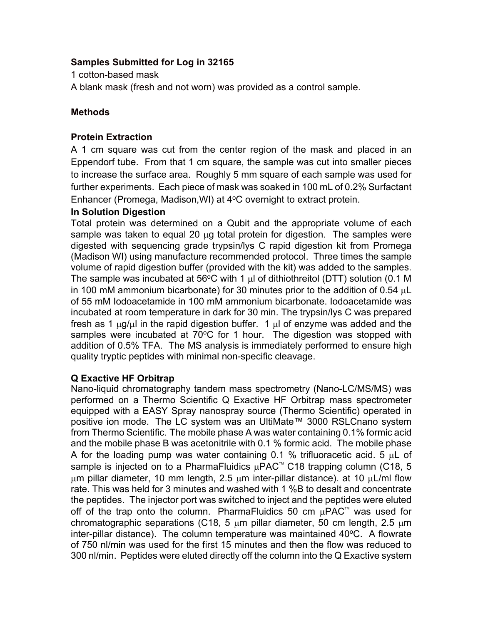# **Samples Submitted for Log in 32165**

1 cotton-based mask

A blank mask (fresh and not worn) was provided as a control sample.

# **Methods**

## **Protein Extraction**

A 1 cm square was cut from the center region of the mask and placed in an Eppendorf tube. From that 1 cm square, the sample was cut into smaller pieces to increase the surface area. Roughly 5 mm square of each sample was used for further experiments. Each piece of mask was soaked in 100 mL of 0.2% Surfactant Enhancer (Promega, Madison, WI) at  $4^{\circ}$ C overnight to extract protein.

# **In Solution Digestion**

Total protein was determined on a Qubit and the appropriate volume of each sample was taken to equal 20 µg total protein for digestion. The samples were digested with sequencing grade trypsin/lys C rapid digestion kit from Promega (Madison WI) using manufacture recommended protocol. Three times the sample volume of rapid digestion buffer (provided with the kit) was added to the samples. The sample was incubated at 56 $\degree$ C with 1  $\mu$  of dithiothreitol (DTT) solution (0.1 M in 100 mM ammonium bicarbonate) for 30 minutes prior to the addition of 0.54  $\mu$ L of 55 mM Iodoacetamide in 100 mM ammonium bicarbonate. Iodoacetamide was incubated at room temperature in dark for 30 min. The trypsin/lys C was prepared fresh as 1  $\mu$ g/ $\mu$  in the rapid digestion buffer. 1  $\mu$  of enzyme was added and the samples were incubated at  $70^{\circ}$ C for 1 hour. The digestion was stopped with addition of 0.5% TFA. The MS analysis is immediately performed to ensure high quality tryptic peptides with minimal non-specific cleavage.

# **Q Exactive HF Orbitrap**

Nano-liquid chromatography tandem mass spectrometry (Nano-LC/MS/MS) was performed on a Thermo Scientific Q Exactive HF Orbitrap mass spectrometer equipped with a EASY Spray nanospray source (Thermo Scientific) operated in positive ion mode. The LC system was an UltiMate™ 3000 RSLCnano system from Thermo Scientific. The mobile phase A was water containing 0.1% formic acid and the mobile phase B was acetonitrile with 0.1 % formic acid. The mobile phase A for the loading pump was water containing 0.1 % trifluoracetic acid. 5  $\mu$ L of sample is injected on to a PharmaFluidics  $\mu$ PAC<sup>™</sup> C18 trapping column (C18, 5  $\mu$ m pillar diameter, 10 mm length, 2.5  $\mu$ m inter-pillar distance). at 10  $\mu$ L/ml flow rate. This was held for 3 minutes and washed with 1 %B to desalt and concentrate the peptides. The injector port was switched to inject and the peptides were eluted off of the trap onto the column. PharmaFluidics 50 cm  $\mu$ PAC<sup> $M$ </sup> was used for chromatographic separations (C18, 5  $\mu$ m pillar diameter, 50 cm length, 2.5  $\mu$ m inter-pillar distance). The column temperature was maintained  $40^{\circ}$ C. A flowrate of 750 nl/min was used for the first 15 minutes and then the flow was reduced to 300 nl/min. Peptides were eluted directly off the column into the Q Exactive system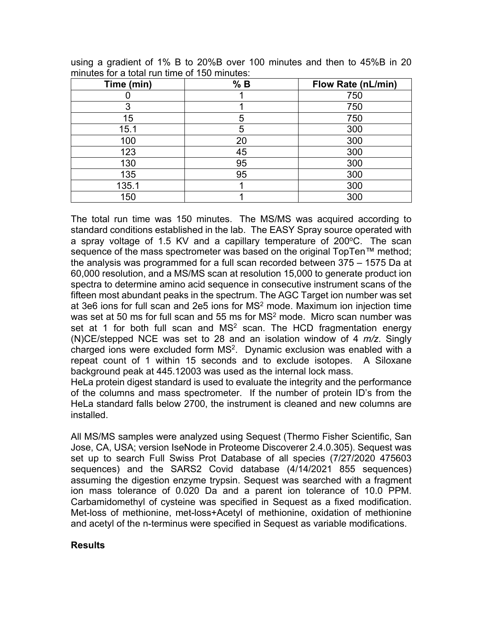| Time (min) | % B | <b>Flow Rate (nL/min)</b> |
|------------|-----|---------------------------|
|            |     | 750                       |
| 3          |     | 750                       |
| 15         | 5   | 750                       |
| 15.1       | 5   | 300                       |
| 100        | 20  | 300                       |
| 123        | 45  | 300                       |
| 130        | 95  | 300                       |
| 135        | 95  | 300                       |
| 135.1      |     | 300                       |
| 150        |     | 300                       |

using a gradient of 1% B to 20%B over 100 minutes and then to 45%B in 20 minutes for a total run time of 150 minutes:

The total run time was 150 minutes. The MS/MS was acquired according to standard conditions established in the lab. The EASY Spray source operated with a spray voltage of 1.5 KV and a capillary temperature of 200°C. The scan sequence of the mass spectrometer was based on the original TopTen™ method; the analysis was programmed for a full scan recorded between 375 – 1575 Da at 60,000 resolution, and a MS/MS scan at resolution 15,000 to generate product ion spectra to determine amino acid sequence in consecutive instrument scans of the fifteen most abundant peaks in the spectrum. The AGC Target ion number was set at 3e6 ions for full scan and 2e5 ions for  $MS<sup>2</sup>$  mode. Maximum ion injection time was set at 50 ms for full scan and 55 ms for  $MS<sup>2</sup>$  mode. Micro scan number was set at 1 for both full scan and  $MS<sup>2</sup>$  scan. The HCD fragmentation energy (N)CE/stepped NCE was set to 28 and an isolation window of 4 *m/z*. Singly charged ions were excluded form  $MS<sup>2</sup>$ . Dynamic exclusion was enabled with a repeat count of 1 within 15 seconds and to exclude isotopes. A Siloxane background peak at 445.12003 was used as the internal lock mass.

HeLa protein digest standard is used to evaluate the integrity and the performance of the columns and mass spectrometer. If the number of protein ID's from the HeLa standard falls below 2700, the instrument is cleaned and new columns are installed.

All MS/MS samples were analyzed using Sequest (Thermo Fisher Scientific, San Jose, CA, USA; version IseNode in Proteome Discoverer 2.4.0.305). Sequest was set up to search Full Swiss Prot Database of all species (7/27/2020 475603 sequences) and the SARS2 Covid database (4/14/2021 855 sequences) assuming the digestion enzyme trypsin. Sequest was searched with a fragment ion mass tolerance of 0.020 Da and a parent ion tolerance of 10.0 PPM. Carbamidomethyl of cysteine was specified in Sequest as a fixed modification. Met-loss of methionine, met-loss+Acetyl of methionine, oxidation of methionine and acetyl of the n-terminus were specified in Sequest as variable modifications.

## **Results**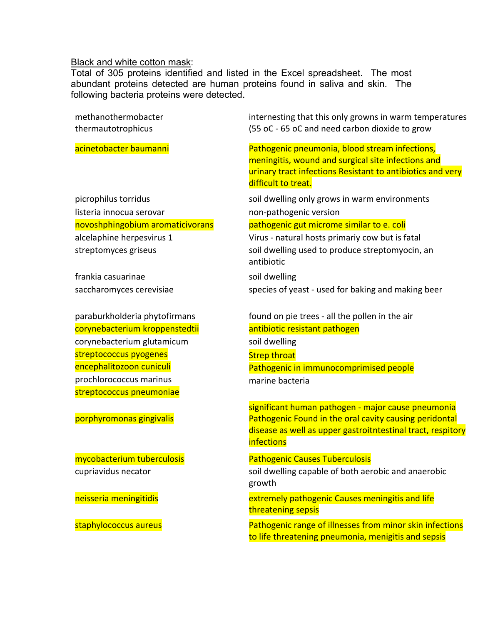## Black and white cotton mask:

streptococcus pneumoniae

Total of 305 proteins identified and listed in the Excel spreadsheet. The most abundant proteins detected are human proteins found in saliva and skin. The following bacteria proteins were detected.

methanothermobacter thermautotrophicus internesting that this only growns in warm temperatures (55 oC - 65 oC and need carbon dioxide to grow acinetobacter baumanni Pathogenic pneumonia, blood stream infections, meningitis, wound and surgical site infections and urinary tract infections Resistant to antibiotics and very difficult to treat. picrophilus torridus soll dwelling only grows in warm environments listeria innocua serovar non-pathogenic version novoshphingobium aromaticivorans entity pathogenic gut microme similar to e. coli alcelaphine herpesvirus 1 Virus - natural hosts primariy cow but is fatal streptomyces griseus soil dwelling used to produce streptomyocin, an antibiotic frankia casuarinae soil dwelling saccharomyces cerevisiae species of yeast - used for baking and making beer paraburkholderia phytofirmans found on pie trees - all the pollen in the air corynebacterium kroppenstedtii antibiotic resistant pathogen corynebacterium glutamicum soil dwelling streptococcus pyogenes strep throat

encephalitozoon cuniculi entertione controller pathogenic in immunocomprimised people prochlorococcus marinus marine bacteria

significant human pathogen - major cause pneumonia porphyromonas gingivalis Pathogenic Found in the oral cavity causing peridontal disease as well as upper gastroitntestinal tract, respitory **infections** 

### mycobacterium tuberculosis Pathogenic Causes Tuberculosis

cupriavidus necator soil dwelling capable of both aerobic and anaerobic growth

neisseria meningitidis extremely pathogenic Causes meningitis and life threatening sepsis

staphylococcus aureus Pathogenic range of illnesses from minor skin infections to life threatening pneumonia, menigitis and sepsis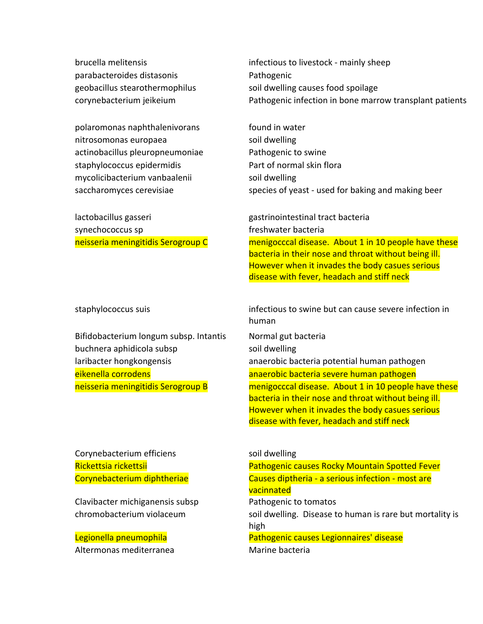brucella melitensis infectious to livestock - mainly sheep parabacteroides distasonis example at the Pathogenic

polaromonas naphthalenivorans found in water nitrosomonas europaea soil dwelling actinobacillus pleuropneumoniae Pathogenic to swine staphylococcus epidermidis **Part of normal skin flora** mycolicibacterium vanbaalenii soil dwelling

synechococcus sp freshwater bacteria

Bifidobacterium longum subsp. Intantis Normal gut bacteria buchnera aphidicola subsp soil dwelling

geobacillus stearothermophilus soil dwelling causes food spoilage corynebacterium jeikeium Pathogenic infection in bone marrow transplant patients

saccharomyces cerevisiae species of yeast - used for baking and making beer

lactobacillus gasseri gastrinointestinal tract bacteria neisseria meningitidis Serogroup C menigocccal disease. About 1 in 10 people have these bacteria in their nose and throat without being ill. However when it invades the body casues serious disease with fever, headach and stiff neck

staphylococcus suis infectious to swine but can cause severe infection in human

laribacter hongkongensis anaerobic bacteria potential human pathogen eikenella corrodens anaerobic bacteria severe human pathogen neisseria meningitidis Serogroup B menigocccal disease. About 1 in 10 people have these bacteria in their nose and throat without being ill. However when it invades the body casues serious disease with fever, headach and stiff neck

Corynebacterium efficiens example and soil dwelling

Clavibacter michiganensis subsp Pathogenic to tomatos

Altermonas mediterranea Marine bacteria

Rickettsia rickettsii Pathogenic causes Rocky Mountain Spotted Fever Corynebacterium diphtheriae Causes diptheria - a serious infection - most are vacinnated chromobacterium violaceum soil dwelling. Disease to human is rare but mortality is high Legionella pneumophila Pathogenic causes Legionnaires' disease